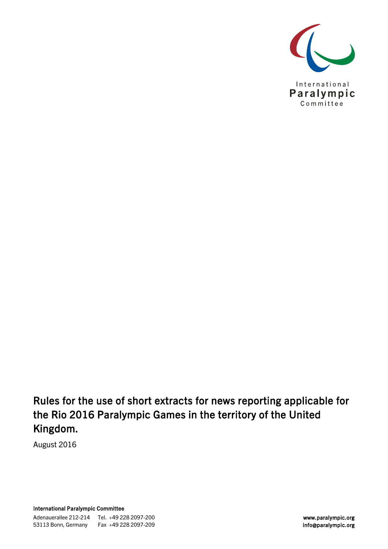

Rules for the use of short extracts for news reporting applicable for the Rio 2016 Paralympic Games in the territory of the United Kingdom.

August 2016

International Paralympic Committee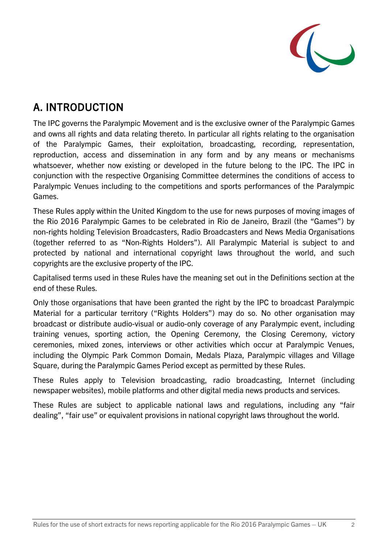

# A. INTRODUCTION

The IPC governs the Paralympic Movement and is the exclusive owner of the Paralympic Games and owns all rights and data relating thereto. In particular all rights relating to the organisation of the Paralympic Games, their exploitation, broadcasting, recording, representation, reproduction, access and dissemination in any form and by any means or mechanisms whatsoever, whether now existing or developed in the future belong to the IPC. The IPC in conjunction with the respective Organising Committee determines the conditions of access to Paralympic Venues including to the competitions and sports performances of the Paralympic Games.

These Rules apply within the United Kingdom to the use for news purposes of moving images of the Rio 2016 Paralympic Games to be celebrated in Rio de Janeiro, Brazil (the "Games") by non-rights holding Television Broadcasters, Radio Broadcasters and News Media Organisations (together referred to as "Non-Rights Holders"). All Paralympic Material is subject to and protected by national and international copyright laws throughout the world, and such copyrights are the exclusive property of the IPC.

Capitalised terms used in these Rules have the meaning set out in the Definitions section at the end of these Rules.

Only those organisations that have been granted the right by the IPC to broadcast Paralympic Material for a particular territory ("Rights Holders") may do so. No other organisation may broadcast or distribute audio-visual or audio-only coverage of any Paralympic event, including training venues, sporting action, the Opening Ceremony, the Closing Ceremony, victory ceremonies, mixed zones, interviews or other activities which occur at Paralympic Venues, including the Olympic Park Common Domain, Medals Plaza, Paralympic villages and Village Square, during the Paralympic Games Period except as permitted by these Rules.

These Rules apply to Television broadcasting, radio broadcasting, Internet (including newspaper websites), mobile platforms and other digital media news products and services.

These Rules are subject to applicable national laws and regulations, including any "fair dealing", "fair use" or equivalent provisions in national copyright laws throughout the world.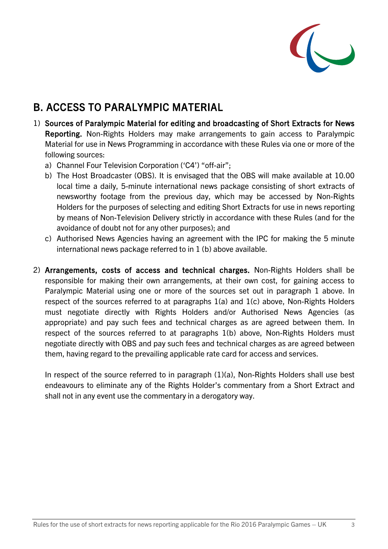

## B. ACCESS TO PARALYMPIC MATERIAL

- 1) Sources of Paralympic Material for editing and broadcasting of Short Extracts for News Reporting. Non-Rights Holders may make arrangements to gain access to Paralympic Material for use in News Programming in accordance with these Rules via one or more of the following sources:
	- a) Channel Four Television Corporation ('C4') "off-air";
	- b) The Host Broadcaster (OBS). It is envisaged that the OBS will make available at 10.00 local time a daily, 5-minute international news package consisting of short extracts of newsworthy footage from the previous day, which may be accessed by Non-Rights Holders for the purposes of selecting and editing Short Extracts for use in news reporting by means of Non-Television Delivery strictly in accordance with these Rules (and for the avoidance of doubt not for any other purposes); and
	- c) Authorised News Agencies having an agreement with the IPC for making the 5 minute international news package referred to in 1 (b) above available.
- 2) Arrangements, costs of access and technical charges. Non-Rights Holders shall be responsible for making their own arrangements, at their own cost, for gaining access to Paralympic Material using one or more of the sources set out in paragraph 1 above. In respect of the sources referred to at paragraphs 1(a) and 1(c) above, Non-Rights Holders must negotiate directly with Rights Holders and/or Authorised News Agencies (as appropriate) and pay such fees and technical charges as are agreed between them. In respect of the sources referred to at paragraphs 1(b) above, Non-Rights Holders must negotiate directly with OBS and pay such fees and technical charges as are agreed between them, having regard to the prevailing applicable rate card for access and services.

In respect of the source referred to in paragraph (1)(a), Non-Rights Holders shall use best endeavours to eliminate any of the Rights Holder's commentary from a Short Extract and shall not in any event use the commentary in a derogatory way.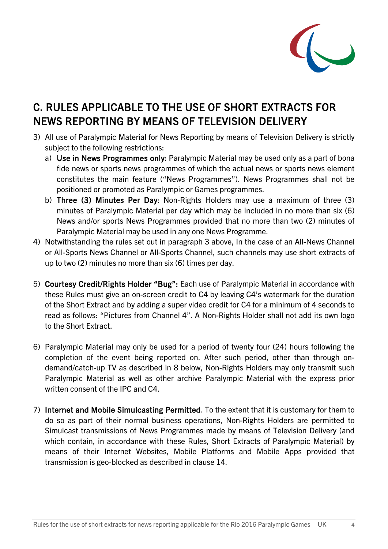

## C. RULES APPLICABLE TO THE USE OF SHORT EXTRACTS FOR NEWS REPORTING BY MEANS OF TELEVISION DELIVERY

- 3) All use of Paralympic Material for News Reporting by means of Television Delivery is strictly subject to the following restrictions:
	- a) Use in News Programmes only: Paralympic Material may be used only as a part of bona fide news or sports news programmes of which the actual news or sports news element constitutes the main feature ("News Programmes"). News Programmes shall not be positioned or promoted as Paralympic or Games programmes.
	- b) Three (3) Minutes Per Day: Non-Rights Holders may use a maximum of three (3) minutes of Paralympic Material per day which may be included in no more than six (6) News and/or sports News Programmes provided that no more than two (2) minutes of Paralympic Material may be used in any one News Programme.
- 4) Notwithstanding the rules set out in paragraph 3 above, In the case of an All-News Channel or All-Sports News Channel or All-Sports Channel, such channels may use short extracts of up to two (2) minutes no more than six (6) times per day.
- 5) Courtesy Credit/Rights Holder "Bug": Each use of Paralympic Material in accordance with these Rules must give an on-screen credit to C4 by leaving C4's watermark for the duration of the Short Extract and by adding a super video credit for C4 for a minimum of 4 seconds to read as follows: "Pictures from Channel 4". A Non-Rights Holder shall not add its own logo to the Short Extract.
- 6) Paralympic Material may only be used for a period of twenty four (24) hours following the completion of the event being reported on. After such period, other than through ondemand/catch-up TV as described in 8 below, Non-Rights Holders may only transmit such Paralympic Material as well as other archive Paralympic Material with the express prior written consent of the IPC and C4.
- 7) Internet and Mobile Simulcasting Permitted. To the extent that it is customary for them to do so as part of their normal business operations, Non-Rights Holders are permitted to Simulcast transmissions of News Programmes made by means of Television Delivery (and which contain, in accordance with these Rules, Short Extracts of Paralympic Material) by means of their Internet Websites, Mobile Platforms and Mobile Apps provided that transmission is geo-blocked as described in clause 14.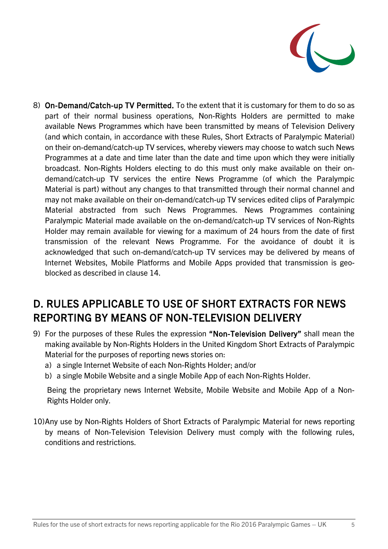

8) On-Demand/Catch-up TV Permitted. To the extent that it is customary for them to do so as part of their normal business operations, Non-Rights Holders are permitted to make available News Programmes which have been transmitted by means of Television Delivery (and which contain, in accordance with these Rules, Short Extracts of Paralympic Material) on their on-demand/catch-up TV services, whereby viewers may choose to watch such News Programmes at a date and time later than the date and time upon which they were initially broadcast. Non-Rights Holders electing to do this must only make available on their ondemand/catch-up TV services the entire News Programme (of which the Paralympic Material is part) without any changes to that transmitted through their normal channel and may not make available on their on-demand/catch-up TV services edited clips of Paralympic Material abstracted from such News Programmes. News Programmes containing Paralympic Material made available on the on-demand/catch-up TV services of Non-Rights Holder may remain available for viewing for a maximum of 24 hours from the date of first transmission of the relevant News Programme. For the avoidance of doubt it is acknowledged that such on-demand/catch-up TV services may be delivered by means of Internet Websites, Mobile Platforms and Mobile Apps provided that transmission is geoblocked as described in clause 14.

## D. RULES APPLICABLE TO USE OF SHORT EXTRACTS FOR NEWS REPORTING BY MEANS OF NON-TELEVISION DELIVERY

- 9) For the purposes of these Rules the expression "Non-Television Delivery" shall mean the making available by Non-Rights Holders in the United Kingdom Short Extracts of Paralympic Material for the purposes of reporting news stories on:
	- a) a single Internet Website of each Non-Rights Holder; and/or
	- b) a single Mobile Website and a single Mobile App of each Non-Rights Holder.

Being the proprietary news Internet Website, Mobile Website and Mobile App of a Non-Rights Holder only.

10)Any use by Non-Rights Holders of Short Extracts of Paralympic Material for news reporting by means of Non-Television Television Delivery must comply with the following rules, conditions and restrictions.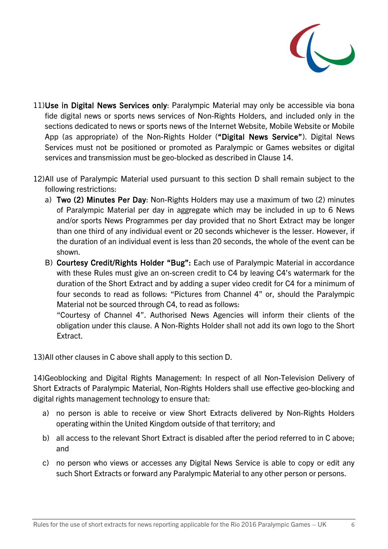

- 11)Use in Digital News Services only: Paralympic Material may only be accessible via bona fide digital news or sports news services of Non-Rights Holders, and included only in the sections dedicated to news or sports news of the Internet Website, Mobile Website or Mobile App (as appropriate) of the Non-Rights Holder ("Digital News Service"). Digital News Services must not be positioned or promoted as Paralympic or Games websites or digital services and transmission must be geo-blocked as described in Clause 14.
- 12)All use of Paralympic Material used pursuant to this section D shall remain subject to the following restrictions:
	- a) Two (2) Minutes Per Day: Non-Rights Holders may use a maximum of two (2) minutes of Paralympic Material per day in aggregate which may be included in up to 6 News and/or sports News Programmes per day provided that no Short Extract may be longer than one third of any individual event or 20 seconds whichever is the lesser. However, if the duration of an individual event is less than 20 seconds, the whole of the event can be shown.
	- B) Courtesy Credit/Rights Holder "Bug": Each use of Paralympic Material in accordance with these Rules must give an on-screen credit to C4 by leaving C4's watermark for the duration of the Short Extract and by adding a super video credit for C4 for a minimum of four seconds to read as follows: "Pictures from Channel 4" or, should the Paralympic Material not be sourced through C4, to read as follows:

"Courtesy of Channel 4". Authorised News Agencies will inform their clients of the obligation under this clause. A Non-Rights Holder shall not add its own logo to the Short Extract.

13)All other clauses in C above shall apply to this section D.

14)Geoblocking and Digital Rights Management: In respect of all Non-Television Delivery of Short Extracts of Paralympic Material, Non-Rights Holders shall use effective geo-blocking and digital rights management technology to ensure that:

- a) no person is able to receive or view Short Extracts delivered by Non-Rights Holders operating within the United Kingdom outside of that territory; and
- b) all access to the relevant Short Extract is disabled after the period referred to in C above; and
- c) no person who views or accesses any Digital News Service is able to copy or edit any such Short Extracts or forward any Paralympic Material to any other person or persons.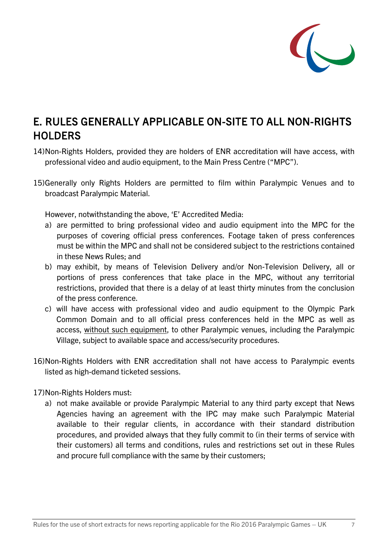

### E. RULES GENERALLY APPLICABLE ON-SITE TO ALL NON-RIGHTS **HOLDERS**

- 14)Non-Rights Holders, provided they are holders of ENR accreditation will have access, with professional video and audio equipment, to the Main Press Centre ("MPC").
- 15)Generally only Rights Holders are permitted to film within Paralympic Venues and to broadcast Paralympic Material.

However, notwithstanding the above, 'E' Accredited Media:

- a) are permitted to bring professional video and audio equipment into the MPC for the purposes of covering official press conferences. Footage taken of press conferences must be within the MPC and shall not be considered subject to the restrictions contained in these News Rules; and
- b) may exhibit, by means of Television Delivery and/or Non-Television Delivery, all or portions of press conferences that take place in the MPC, without any territorial restrictions, provided that there is a delay of at least thirty minutes from the conclusion of the press conference.
- c) will have access with professional video and audio equipment to the Olympic Park Common Domain and to all official press conferences held in the MPC as well as access, without such equipment, to other Paralympic venues, including the Paralympic Village, subject to available space and access/security procedures.
- 16)Non-Rights Holders with ENR accreditation shall not have access to Paralympic events listed as high-demand ticketed sessions.
- 17)Non-Rights Holders must:
	- a) not make available or provide Paralympic Material to any third party except that News Agencies having an agreement with the IPC may make such Paralympic Material available to their regular clients, in accordance with their standard distribution procedures, and provided always that they fully commit to (in their terms of service with their customers) all terms and conditions, rules and restrictions set out in these Rules and procure full compliance with the same by their customers;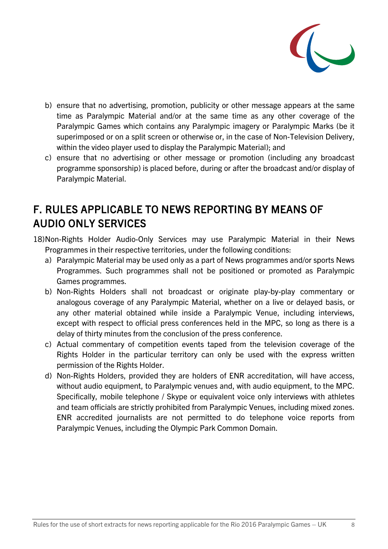

- b) ensure that no advertising, promotion, publicity or other message appears at the same time as Paralympic Material and/or at the same time as any other coverage of the Paralympic Games which contains any Paralympic imagery or Paralympic Marks (be it superimposed or on a split screen or otherwise or, in the case of Non-Television Delivery, within the video player used to display the Paralympic Material); and
- c) ensure that no advertising or other message or promotion (including any broadcast programme sponsorship) is placed before, during or after the broadcast and/or display of Paralympic Material.

#### F. RULES APPLICABLE TO NEWS REPORTING BY MEANS OF AUDIO ONLY SERVICES

- 18)Non-Rights Holder Audio-Only Services may use Paralympic Material in their News Programmes in their respective territories, under the following conditions:
	- a) Paralympic Material may be used only as a part of News programmes and/or sports News Programmes. Such programmes shall not be positioned or promoted as Paralympic Games programmes.
	- b) Non-Rights Holders shall not broadcast or originate play-by-play commentary or analogous coverage of any Paralympic Material, whether on a live or delayed basis, or any other material obtained while inside a Paralympic Venue, including interviews, except with respect to official press conferences held in the MPC, so long as there is a delay of thirty minutes from the conclusion of the press conference.
	- c) Actual commentary of competition events taped from the television coverage of the Rights Holder in the particular territory can only be used with the express written permission of the Rights Holder.
	- d) Non-Rights Holders, provided they are holders of ENR accreditation, will have access, without audio equipment, to Paralympic venues and, with audio equipment, to the MPC. Specifically, mobile telephone / Skype or equivalent voice only interviews with athletes and team officials are strictly prohibited from Paralympic Venues, including mixed zones. ENR accredited journalists are not permitted to do telephone voice reports from Paralympic Venues, including the Olympic Park Common Domain.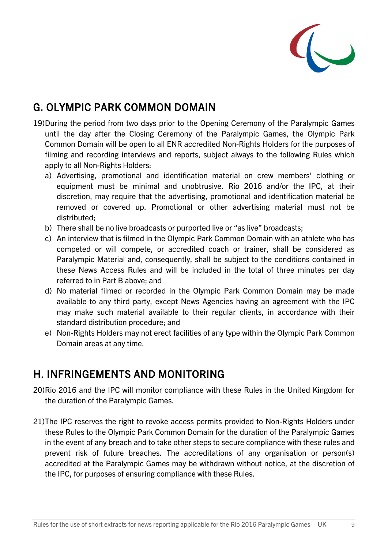

## G. OLYMPIC PARK COMMON DOMAIN

- 19)During the period from two days prior to the Opening Ceremony of the Paralympic Games until the day after the Closing Ceremony of the Paralympic Games, the Olympic Park Common Domain will be open to all ENR accredited Non-Rights Holders for the purposes of filming and recording interviews and reports, subject always to the following Rules which apply to all Non-Rights Holders:
	- a) Advertising, promotional and identification material on crew members' clothing or equipment must be minimal and unobtrusive. Rio 2016 and/or the IPC, at their discretion, may require that the advertising, promotional and identification material be removed or covered up. Promotional or other advertising material must not be distributed;
	- b) There shall be no live broadcasts or purported live or "as live" broadcasts;
	- c) An interview that is filmed in the Olympic Park Common Domain with an athlete who has competed or will compete, or accredited coach or trainer, shall be considered as Paralympic Material and, consequently, shall be subject to the conditions contained in these News Access Rules and will be included in the total of three minutes per day referred to in Part B above; and
	- d) No material filmed or recorded in the Olympic Park Common Domain may be made available to any third party, except News Agencies having an agreement with the IPC may make such material available to their regular clients, in accordance with their standard distribution procedure; and
	- e) Non-Rights Holders may not erect facilities of any type within the Olympic Park Common Domain areas at any time.

#### H. INFRINGEMENTS AND MONITORING

- 20)Rio 2016 and the IPC will monitor compliance with these Rules in the United Kingdom for the duration of the Paralympic Games.
- 21)The IPC reserves the right to revoke access permits provided to Non-Rights Holders under these Rules to the Olympic Park Common Domain for the duration of the Paralympic Games in the event of any breach and to take other steps to secure compliance with these rules and prevent risk of future breaches. The accreditations of any organisation or person(s) accredited at the Paralympic Games may be withdrawn without notice, at the discretion of the IPC, for purposes of ensuring compliance with these Rules.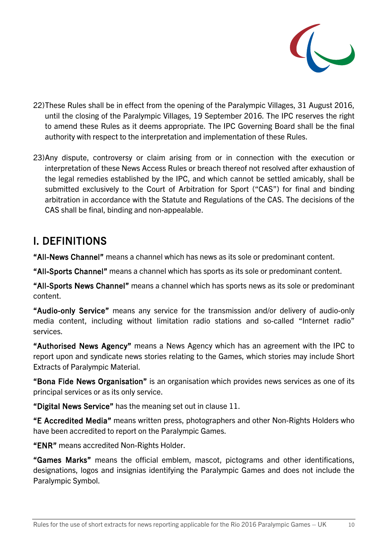

- 22)These Rules shall be in effect from the opening of the Paralympic Villages, 31 August 2016, until the closing of the Paralympic Villages, 19 September 2016. The IPC reserves the right to amend these Rules as it deems appropriate. The IPC Governing Board shall be the final authority with respect to the interpretation and implementation of these Rules.
- 23)Any dispute, controversy or claim arising from or in connection with the execution or interpretation of these News Access Rules or breach thereof not resolved after exhaustion of the legal remedies established by the IPC, and which cannot be settled amicably, shall be submitted exclusively to the Court of Arbitration for Sport ("CAS") for final and binding arbitration in accordance with the Statute and Regulations of the CAS. The decisions of the CAS shall be final, binding and non-appealable.

#### I. DEFINITIONS

"All-News Channel" means a channel which has news as its sole or predominant content.

"All-Sports Channel" means a channel which has sports as its sole or predominant content.

"All-Sports News Channel" means a channel which has sports news as its sole or predominant content.

"Audio-only Service" means any service for the transmission and/or delivery of audio-only media content, including without limitation radio stations and so-called "Internet radio" services.

"Authorised News Agency" means a News Agency which has an agreement with the IPC to report upon and syndicate news stories relating to the Games, which stories may include Short Extracts of Paralympic Material.

"Bona Fide News Organisation" is an organisation which provides news services as one of its principal services or as its only service.

"Digital News Service" has the meaning set out in clause 11.

"E Accredited Media" means written press, photographers and other Non-Rights Holders who have been accredited to report on the Paralympic Games.

"ENR" means accredited Non-Rights Holder.

"Games Marks" means the official emblem, mascot, pictograms and other identifications, designations, logos and insignias identifying the Paralympic Games and does not include the Paralympic Symbol.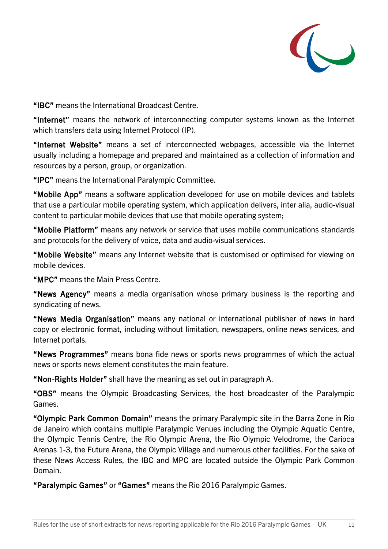

"IBC" means the International Broadcast Centre.

"Internet" means the network of interconnecting computer systems known as the Internet which transfers data using Internet Protocol (IP).

"Internet Website" means a set of interconnected webpages, accessible via the Internet usually including a homepage and prepared and maintained as a collection of information and resources by a person, group, or organization.

"IPC" means the International Paralympic Committee.

"Mobile App" means a software application developed for use on mobile devices and tablets that use a particular mobile operating system, which application delivers, inter alia, audio-visual content to particular mobile devices that use that mobile operating system;

"Mobile Platform" means any network or service that uses mobile communications standards and protocols for the delivery of voice, data and audio-visual services.

"Mobile Website" means any Internet website that is customised or optimised for viewing on mobile devices.

"MPC" means the Main Press Centre.

"News Agency" means a media organisation whose primary business is the reporting and syndicating of news.

"News Media Organisation" means any national or international publisher of news in hard copy or electronic format, including without limitation, newspapers, online news services, and Internet portals.

"News Programmes" means bona fide news or sports news programmes of which the actual news or sports news element constitutes the main feature.

"Non-Rights Holder" shall have the meaning as set out in paragraph A.

"OBS" means the Olympic Broadcasting Services, the host broadcaster of the Paralympic Games.

"Olympic Park Common Domain" means the primary Paralympic site in the Barra Zone in Rio de Janeiro which contains multiple Paralympic Venues including the Olympic Aquatic Centre, the Olympic Tennis Centre, the Rio Olympic Arena, the Rio Olympic Velodrome, the Carioca Arenas 1-3, the Future Arena, the Olympic Village and numerous other facilities. For the sake of these News Access Rules, the IBC and MPC are located outside the Olympic Park Common Domain.

"Paralympic Games" or "Games" means the Rio 2016 Paralympic Games.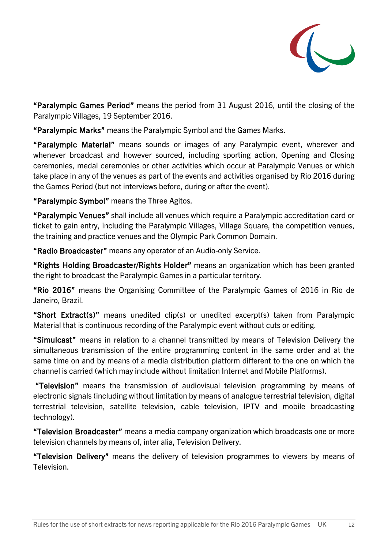

"Paralympic Games Period" means the period from 31 August 2016, until the closing of the Paralympic Villages, 19 September 2016.

"Paralympic Marks" means the Paralympic Symbol and the Games Marks.

"Paralympic Material" means sounds or images of any Paralympic event, wherever and whenever broadcast and however sourced, including sporting action, Opening and Closing ceremonies, medal ceremonies or other activities which occur at Paralympic Venues or which take place in any of the venues as part of the events and activities organised by Rio 2016 during the Games Period (but not interviews before, during or after the event).

"Paralympic Symbol" means the Three Agitos.

"Paralympic Venues" shall include all venues which require a Paralympic accreditation card or ticket to gain entry, including the Paralympic Villages, Village Square, the competition venues, the training and practice venues and the Olympic Park Common Domain.

"Radio Broadcaster" means any operator of an Audio-only Service.

"Rights Holding Broadcaster/Rights Holder" means an organization which has been granted the right to broadcast the Paralympic Games in a particular territory.

"Rio 2016" means the Organising Committee of the Paralympic Games of 2016 in Rio de Janeiro, Brazil.

"Short Extract(s)" means unedited clip(s) or unedited excerpt(s) taken from Paralympic Material that is continuous recording of the Paralympic event without cuts or editing.

"Simulcast" means in relation to a channel transmitted by means of Television Delivery the simultaneous transmission of the entire programming content in the same order and at the same time on and by means of a media distribution platform different to the one on which the channel is carried (which may include without limitation Internet and Mobile Platforms).

 "Television" means the transmission of audiovisual television programming by means of electronic signals (including without limitation by means of analogue terrestrial television, digital terrestrial television, satellite television, cable television, IPTV and mobile broadcasting technology).

"Television Broadcaster" means a media company organization which broadcasts one or more television channels by means of, inter alia, Television Delivery.

"Television Delivery" means the delivery of television programmes to viewers by means of Television.